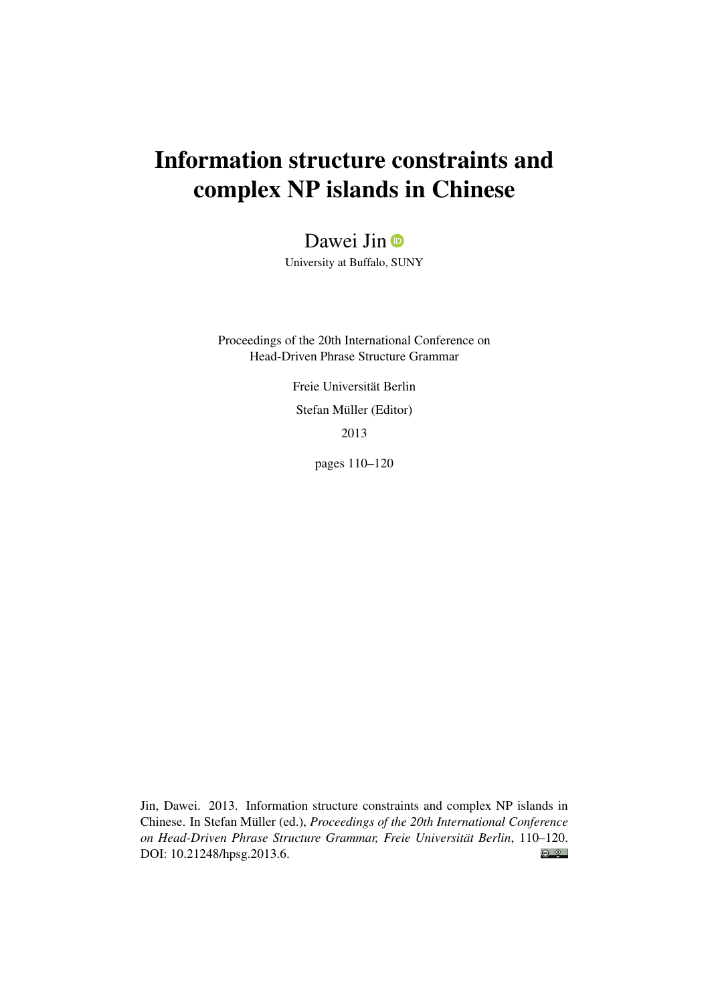# Information structure constraints and complex NP islands in Chinese

Dawei Jin **D** 

University at Buffalo, SUNY

Proceedings of the 20th International Conference on Head-Driven Phrase Structure Grammar

> Freie Universität Berlin Stefan Müller (Editor) 2013

> > pages 110–120

Jin, Dawei. 2013. Information structure constraints and complex NP islands in Chinese. In Stefan Müller (ed.), *Proceedings of the 20th International Conference on Head-Driven Phrase Structure Grammar, Freie Universität Berlin*, 110–120.  $\odot$   $\odot$ DOI: [10.21248/hpsg.2013.6.](http://doi.org/10.21248/hpsg.2013.6)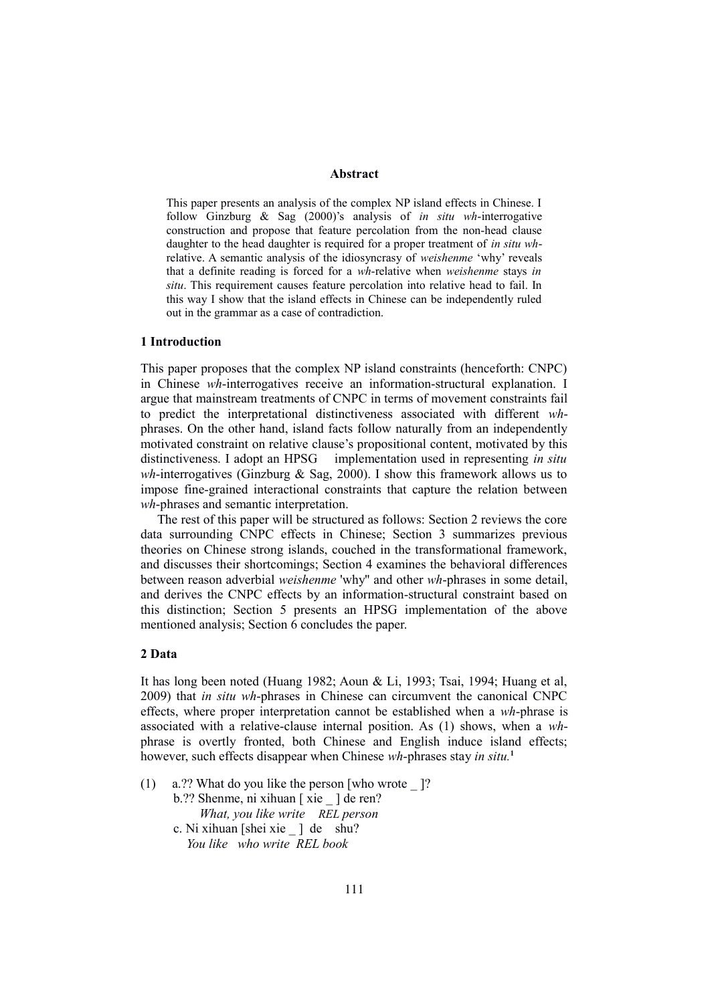#### **Abstract**

This paper presents an analysis of the complex NP island effects in Chinese. I follow Ginzburg & Sag (2000)'s analysis of *in situ wh*-interrogative construction and propose that feature percolation from the non-head clause daughter to the head daughter is required for a proper treatment of *in situ wh*relative. A semantic analysis of the idiosyncrasy of *weishenme* 'why' reveals that a definite reading is forced for a *wh*-relative when *weishenme* stays *in situ*. This requirement causes feature percolation into relative head to fail. In this way I show that the island effects in Chinese can be independently ruled out in the grammar as a case of contradiction.

#### **1 Introduction**

This paper proposes that the complex NP island constraints (henceforth: CNPC) in Chinese *wh*-interrogatives receive an information-structural explanation. I argue that mainstream treatments of CNPC in terms of movement constraints fail to predict the interpretational distinctiveness associated with different *wh*phrases. On the other hand, island facts follow naturally from an independently motivated constraint on relative clause's propositional content, motivated by this distinctiveness. I adopt an HPSG implementation used in representing *in situ wh*-interrogatives (Ginzburg & Sag, 2000). I show this framework allows us to impose fine-grained interactional constraints that capture the relation between *wh*-phrases and semantic interpretation.

 The rest of this paper will be structured as follows: Section 2 reviews the core data surrounding CNPC effects in Chinese; Section 3 summarizes previous theories on Chinese strong islands, couched in the transformational framework, and discusses their shortcomings; Section 4 examines the behavioral differences between reason adverbial *weishenme* 'why'' and other *wh*-phrases in some detail, and derives the CNPC effects by an information-structural constraint based on this distinction; Section 5 presents an HPSG implementation of the above mentioned analysis; Section 6 concludes the paper.

#### **2 Data**

It has long been noted (Huang 1982; Aoun & Li, 1993; Tsai, 1994; Huang et al, 2009) that *in situ wh*-phrases in Chinese can circumvent the canonical CNPC effects, where proper interpretation cannot be established when a *wh*-phrase is associated with a relative-clause internal position. As (1) shows, when a *wh*phrase is overtly fronted, both Chinese and English induce island effects; however, such effects disappear when Chinese *wh*-phrases stay *in situ.***<sup>1</sup>**

(1) a.?? What do you like the person [who wrote \_ ]? b.?? Shenme, ni xihuan [ xie \_ ] de ren?  *What, you like write REL person*  c. Ni xihuan [shei xie ] de shu?  *You like who write REL book*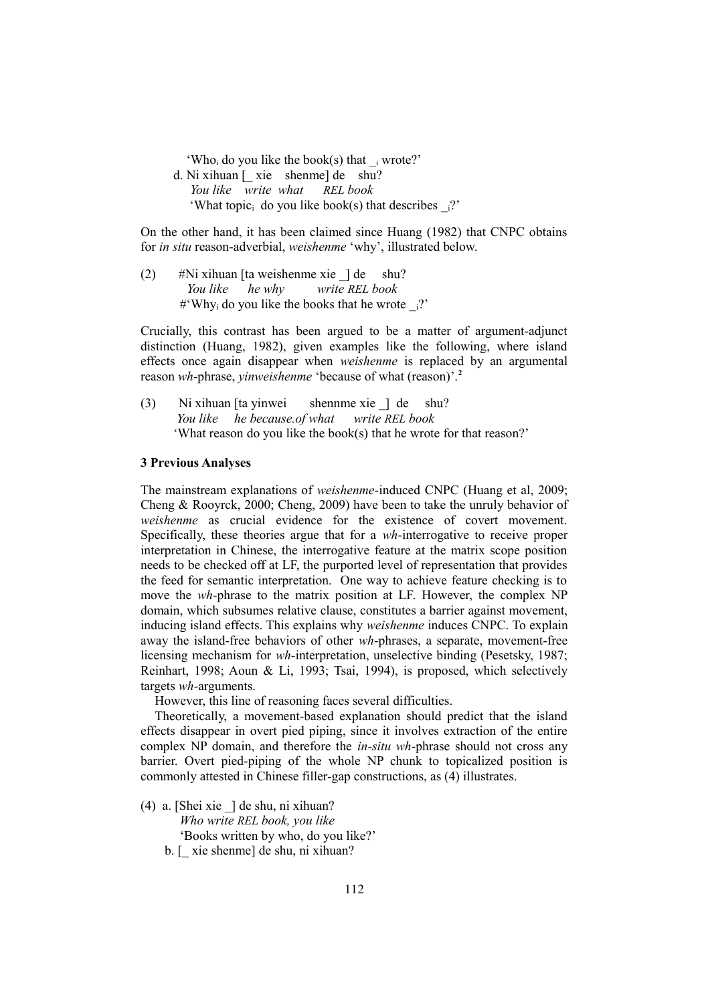'Who, do you like the book(s) that  $\pm$  wrote?' d. Ni xihuan [\_ xie shenme] de shu?  *You like write what REL book* 'What topic<sub>i</sub> do you like book(s) that describes  $\frac{1}{2}$ 

On the other hand, it has been claimed since Huang (1982) that CNPC obtains for *in situ* reason-adverbial, *weishenme* 'why', illustrated below.

(2)  $\#$ Ni xihuan [ta weishenme xie ] de shu?  *You like he why write REL book* # Why<sub>i</sub> do you like the books that he wrote  $\frac{1}{2}$ ?

Crucially, this contrast has been argued to be a matter of argument-adjunct distinction (Huang, 1982), given examples like the following, where island effects once again disappear when *weishenme* is replaced by an argumental reason *wh*-phrase, *yinweishenme* 'because of what (reason)'.**<sup>2</sup>**

(3) Ni xihuan [ta yinwei shennme xie \_] de shu?  *You like he because.of what write REL book* 'What reason do you like the book(s) that he wrote for that reason?'

### **3 Previous Analyses**

The mainstream explanations of *weishenme*-induced CNPC (Huang et al, 2009; Cheng & Rooyrck, 2000; Cheng, 2009) have been to take the unruly behavior of *weishenme* as crucial evidence for the existence of covert movement. Specifically, these theories argue that for a *wh*-interrogative to receive proper interpretation in Chinese, the interrogative feature at the matrix scope position needs to be checked off at LF, the purported level of representation that provides the feed for semantic interpretation. One way to achieve feature checking is to move the *wh*-phrase to the matrix position at LF. However, the complex NP domain, which subsumes relative clause, constitutes a barrier against movement, inducing island effects. This explains why *weishenme* induces CNPC. To explain away the island-free behaviors of other *wh*-phrases, a separate, movement-free licensing mechanism for *wh*-interpretation, unselective binding (Pesetsky, 1987; Reinhart, 1998; Aoun & Li, 1993; Tsai, 1994), is proposed, which selectively targets *wh*-arguments.

However, this line of reasoning faces several difficulties.

Theoretically, a movement-based explanation should predict that the island effects disappear in overt pied piping, since it involves extraction of the entire complex NP domain, and therefore the *in-situ wh*-phrase should not cross any barrier. Overt pied-piping of the whole NP chunk to topicalized position is commonly attested in Chinese filler-gap constructions, as (4) illustrates.

- (4) a. [Shei xie \_] de shu, ni xihuan? *Who write REL book, you like* 'Books written by who, do you like?'
	- b. [\_ xie shenme] de shu, ni xihuan?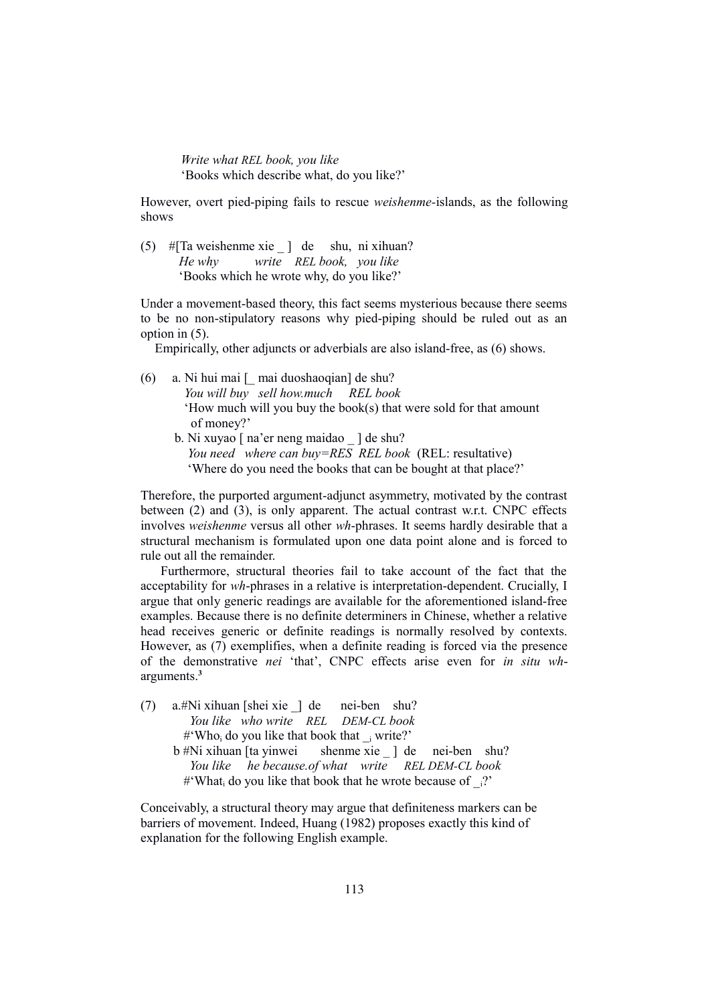*Write what REL book, you like* 'Books which describe what, do you like?'

However, overt pied-piping fails to rescue *weishenme-*islands, as the following shows

(5) #[Ta weishenme xie \_ ] de shu, ni xihuan?  *He why write REL book, you like* 'Books which he wrote why, do you like?'

Under a movement-based theory, this fact seems mysterious because there seems to be no non-stipulatory reasons why pied-piping should be ruled out as an option in (5).

Empirically, other adjuncts or adverbials are also island-free, as (6) shows.

- (6) a. Ni hui mai [\_ mai duoshaoqian] de shu?  *You will buy sell how.much REL book*  'How much will you buy the book(s) that were sold for that amount of money?'
	- b. Ni xuyao [ na'er neng maidao \_ ] de shu?  *You need where can buy=RES REL book* (REL: resultative) 'Where do you need the books that can be bought at that place?'

Therefore, the purported argument-adjunct asymmetry, motivated by the contrast between (2) and (3), is only apparent. The actual contrast w.r.t. CNPC effects involves *weishenme* versus all other *wh*-phrases. It seems hardly desirable that a structural mechanism is formulated upon one data point alone and is forced to rule out all the remainder.

 Furthermore, structural theories fail to take account of the fact that the acceptability for *wh*-phrases in a relative is interpretation-dependent. Crucially, I argue that only generic readings are available for the aforementioned island-free examples. Because there is no definite determiners in Chinese, whether a relative head receives generic or definite readings is normally resolved by contexts. However, as (7) exemplifies, when a definite reading is forced via the presence of the demonstrative *nei* 'that', CNPC effects arise even for *in situ wh*arguments.**<sup>3</sup>**

(7) a.#Ni xihuan [shei xie \_] de nei-ben shu? *You like who write REL DEM-CL book* #'Who<sub>i</sub> do you like that book that  $\frac{1}{1}$  write?'  $b \# Ni$  xihuan [ta yinwei shenme xie ] de nei-ben shu? *You like he because.of what write REL DEM-CL book* #'What<sub>i</sub> do you like that book that he wrote because of  $i$ ?'

Conceivably, a structural theory may argue that definiteness markers can be barriers of movement. Indeed, Huang (1982) proposes exactly this kind of explanation for the following English example.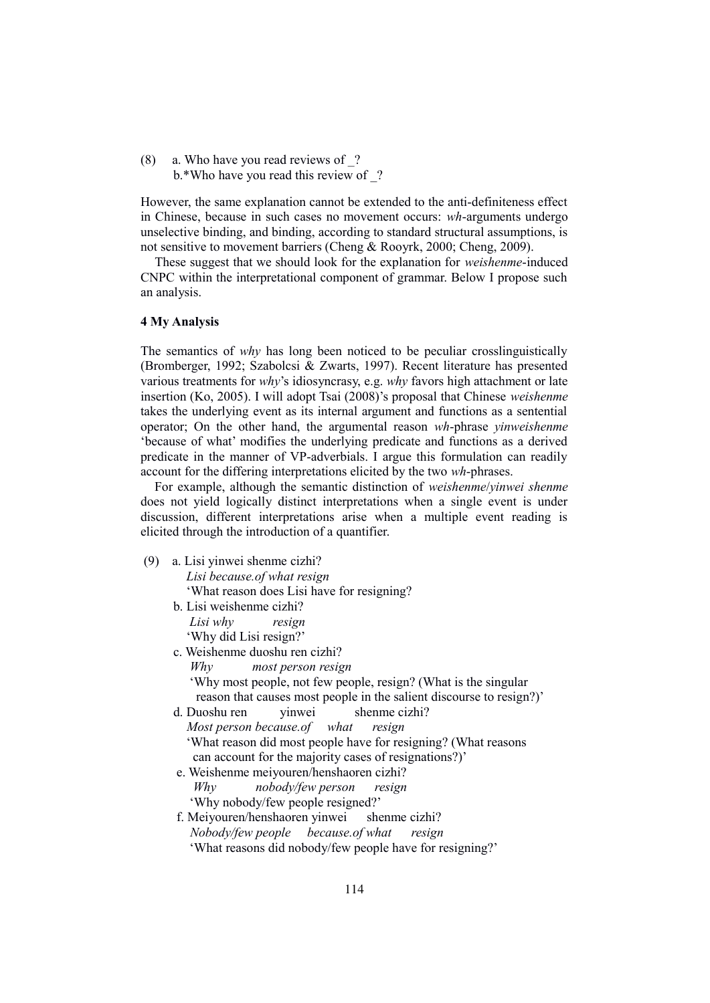(8) a. Who have you read reviews of \_? b.\*Who have you read this review of ?

However, the same explanation cannot be extended to the anti-definiteness effect in Chinese, because in such cases no movement occurs: *wh*-arguments undergo unselective binding, and binding, according to standard structural assumptions, is not sensitive to movement barriers (Cheng & Rooyrk, 2000; Cheng, 2009).

These suggest that we should look for the explanation for *weishenme*-induced CNPC within the interpretational component of grammar. Below I propose such an analysis.

#### **4 My Analysis**

The semantics of *why* has long been noticed to be peculiar crosslinguistically (Bromberger, 1992; Szabolcsi & Zwarts, 1997). Recent literature has presented various treatments for *why*'s idiosyncrasy, e.g. *why* favors high attachment or late insertion (Ko, 2005). I will adopt Tsai (2008)'s proposal that Chinese *weishenme* takes the underlying event as its internal argument and functions as a sentential operator; On the other hand, the argumental reason *wh*-phrase *yinweishenme* 'because of what' modifies the underlying predicate and functions as a derived predicate in the manner of VP-adverbials. I argue this formulation can readily account for the differing interpretations elicited by the two *wh*-phrases.

 For example, although the semantic distinction of *weishenme*/*yinwei shenme* does not yield logically distinct interpretations when a single event is under discussion, different interpretations arise when a multiple event reading is elicited through the introduction of a quantifier.

- (9) a. Lisi yinwei shenme cizhi? *Lisi because.of what resign* 
	- 'What reason does Lisi have for resigning?
	- b. Lisi weishenme cizhi?  *Lisi why resign*

'Why did Lisi resign?'

- c. Weishenme duoshu ren cizhi?
	- *Why most person resign*
	- 'Why most people, not few people, resign? (What is the singular reason that causes most people in the salient discourse to resign?)'
- d. Duoshu ren yinwei shenme cizhi?
	- *Most person because.of what resign*
	- 'What reason did most people have for resigning? (What reasons can account for the majority cases of resignations?)'
- e. Weishenme meiyouren/henshaoren cizhi? *Why nobody/few person resign* 'Why nobody/few people resigned?'
- f. Meiyouren/henshaoren yinwei shenme cizhi? *Nobody/few people because.of what resign* 'What reasons did nobody/few people have for resigning?'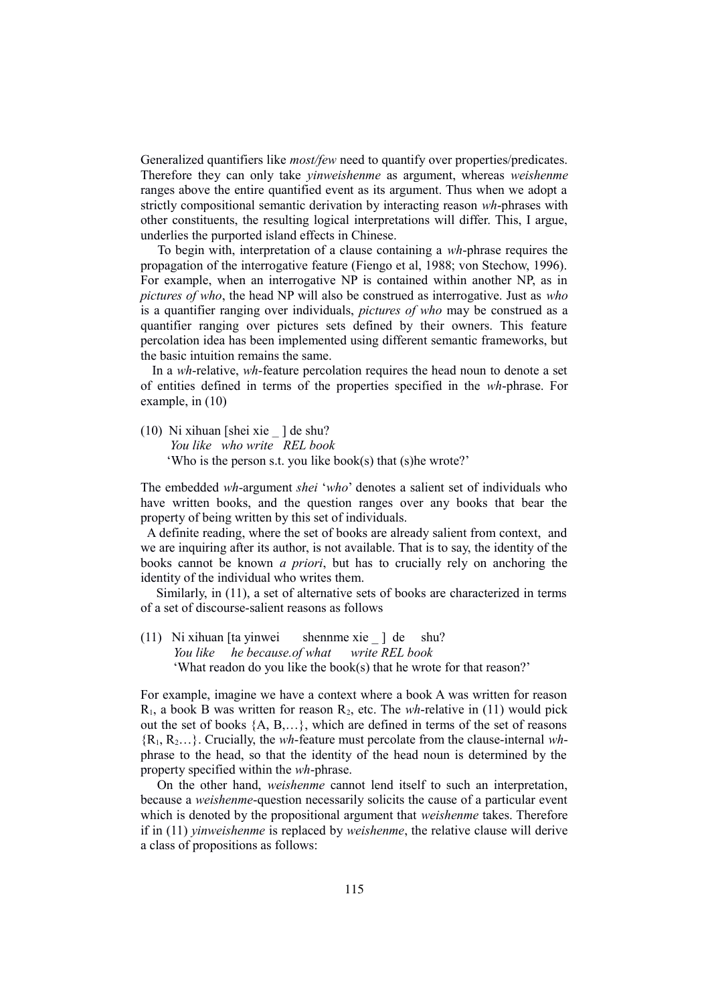Generalized quantifiers like *most/few* need to quantify over properties/predicates. Therefore they can only take *yinweishenme* as argument, whereas *weishenme* ranges above the entire quantified event as its argument. Thus when we adopt a strictly compositional semantic derivation by interacting reason *wh*-phrases with other constituents, the resulting logical interpretations will differ. This, I argue, underlies the purported island effects in Chinese.

 To begin with, interpretation of a clause containing a *wh*-phrase requires the propagation of the interrogative feature (Fiengo et al, 1988; von Stechow, 1996). For example, when an interrogative NP is contained within another NP, as in *pictures of who*, the head NP will also be construed as interrogative. Just as *who* is a quantifier ranging over individuals, *pictures of who* may be construed as a quantifier ranging over pictures sets defined by their owners. This feature percolation idea has been implemented using different semantic frameworks, but the basic intuition remains the same.

 In a *wh*-relative, *wh*-feature percolation requires the head noun to denote a set of entities defined in terms of the properties specified in the *wh*-phrase. For example, in (10)

(10) Ni xihuan [shei xie \_ ] de shu?  *You like who write REL book*  'Who is the person s.t. you like book(s) that (s)he wrote?'

The embedded *wh*-argument *shei* '*who*' denotes a salient set of individuals who have written books, and the question ranges over any books that bear the property of being written by this set of individuals.

 A definite reading, where the set of books are already salient from context, and we are inquiring after its author, is not available. That is to say, the identity of the books cannot be known *a priori*, but has to crucially rely on anchoring the identity of the individual who writes them.

 Similarly, in (11), a set of alternative sets of books are characterized in terms of a set of discourse-salient reasons as follows

(11) Ni xihuan [ta yinwei shennme xie ] de shu?  *You like he because.of what write REL book* 'What readon do you like the book(s) that he wrote for that reason?'

For example, imagine we have a context where a book A was written for reason  $R_1$ , a book B was written for reason  $R_2$ , etc. The *wh*-relative in (11) would pick out the set of books {A, B,…}, which are defined in terms of the set of reasons {R1, R2…}. Crucially, the *wh*-feature must percolate from the clause-internal *wh*phrase to the head, so that the identity of the head noun is determined by the property specified within the *wh*-phrase.

 On the other hand, *weishenme* cannot lend itself to such an interpretation, because a *weishenme*-question necessarily solicits the cause of a particular event which is denoted by the propositional argument that *weishenme* takes. Therefore if in (11) *yinweishenme* is replaced by *weishenme*, the relative clause will derive a class of propositions as follows: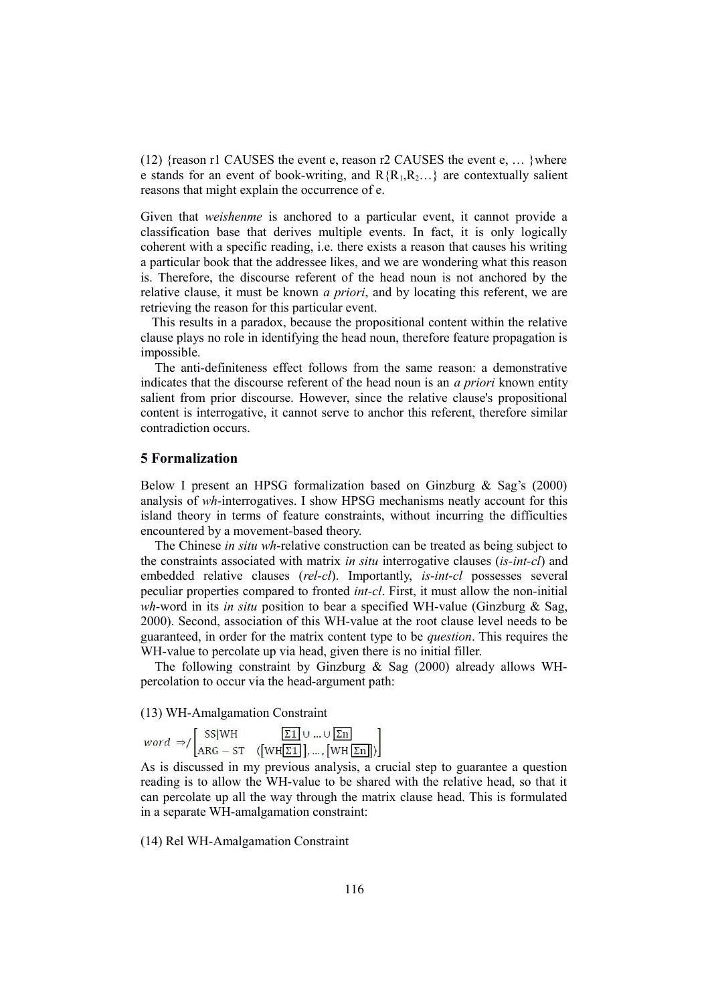(12) {reason r1 CAUSES the event e, reason r2 CAUSES the event e,  $\dots$  }where e stands for an event of book-writing, and  $R{R_1,R_2...}$  are contextually salient reasons that might explain the occurrence of e.

Given that *weishenme* is anchored to a particular event, it cannot provide a classification base that derives multiple events. In fact, it is only logically coherent with a specific reading, i.e. there exists a reason that causes his writing a particular book that the addressee likes, and we are wondering what this reason is. Therefore, the discourse referent of the head noun is not anchored by the relative clause, it must be known *a priori*, and by locating this referent, we are retrieving the reason for this particular event.

 This results in a paradox, because the propositional content within the relative clause plays no role in identifying the head noun, therefore feature propagation is impossible.

The anti-definiteness effect follows from the same reason: a demonstrative indicates that the discourse referent of the head noun is an *a priori* known entity salient from prior discourse. However, since the relative clause's propositional content is interrogative, it cannot serve to anchor this referent, therefore similar contradiction occurs.

#### **5 Formalization**

Below I present an HPSG formalization based on Ginzburg & Sag's (2000) analysis of *wh*-interrogatives. I show HPSG mechanisms neatly account for this island theory in terms of feature constraints, without incurring the difficulties encountered by a movement-based theory.

The Chinese *in situ wh*-relative construction can be treated as being subject to the constraints associated with matrix *in situ* interrogative clauses (*is-int-cl*) and embedded relative clauses (*rel-cl*). Importantly, *is-int-cl* possesses several peculiar properties compared to fronted *int-cl*. First, it must allow the non-initial *wh*-word in its *in situ* position to bear a specified WH-value (Ginzburg & Sag, 2000). Second, association of this WH-value at the root clause level needs to be guaranteed, in order for the matrix content type to be *question*. This requires the WH-value to percolate up via head, given there is no initial filler.

The following constraint by Ginzburg & Sag (2000) already allows WHpercolation to occur via the head-argument path:

(13) WH-Amalgamation Constraint<br>  $word \rightarrow / \begin{bmatrix} SS|WH & \boxed{\Sigma 1} \cup ... \cup \boxed{\Sigma n} \\ ARG - ST & (\boxed{WH[\Sigma 1]}, ..., [\boxed{WH[\Sigma n]}]) \end{bmatrix}$ 

As is discussed in my previous analysis, a crucial step to guarantee a question reading is to allow the WH-value to be shared with the relative head, so that it can percolate up all the way through the matrix clause head. This is formulated in a separate WH-amalgamation constraint:

(14) Rel WH-Amalgamation Constraint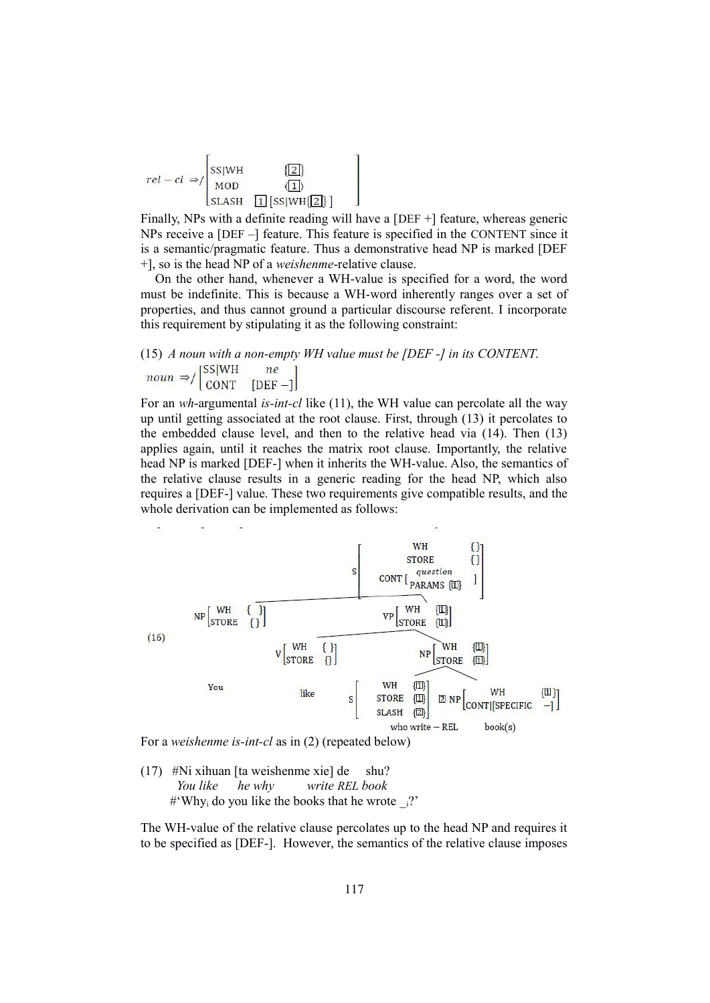$$
rel-cl \Rightarrow / \begin{bmatrix} \text{SS} \mid \text{WH} & \text{Z} \\ \text{MOD} & \text{Z} \end{bmatrix}
$$
  

$$
\text{SLASH} \quad \boxed{1} \text{SS} \mid \text{WH} \cdot \boxed{2}
$$

Finally, NPs with a definite reading will have a [DEF +] feature, whereas generic NPs receive a [DEF –] feature. This feature is specified in the CONTENT since it is a semantic/pragmatic feature. Thus a demonstrative head NP is marked [DEF +], so is the head NP of a *weishenme*-relative clause.

 On the other hand, whenever a WH-value is specified for a word, the word must be indefinite. This is because a WH-word inherently ranges over a set of properties, and thus cannot ground a particular discourse referent. I incorporate this requirement by stipulating it as the following constraint:

## (15) *A noun with a non-empty WH value must be [DEF -] in its CONTENT*.  $\text{noun} \Rightarrow / \begin{bmatrix} \text{SS} | \text{WH} & \text{ne} \\ \text{CONT} & \text{[DEF]} \end{bmatrix}$

For an *wh*-argumental *is-int-cl* like (11), the WH value can percolate all the way up until getting associated at the root clause. First, through (13) it percolates to the embedded clause level, and then to the relative head via (14). Then (13) applies again, until it reaches the matrix root clause. Importantly, the relative head NP is marked [DEF-] when it inherits the WH-value. Also, the semantics of the relative clause results in a generic reading for the head NP, which also requires a [DEF-] value. These two requirements give compatible results, and the whole derivation can be implemented as follows:



For a *weishenme is-int-cl* as in (2) (repeated below)

(17) #Ni xihuan [ta weishenme xie] de shu?  *You like he why write REL book*  $\#^{\mathcal{L}}$ Why<sub>i</sub> do you like the books that he wrote  $\frac{1}{2}$ ?

The WH-value of the relative clause percolates up to the head NP and requires it to be specified as [DEF-]. However, the semantics of the relative clause imposes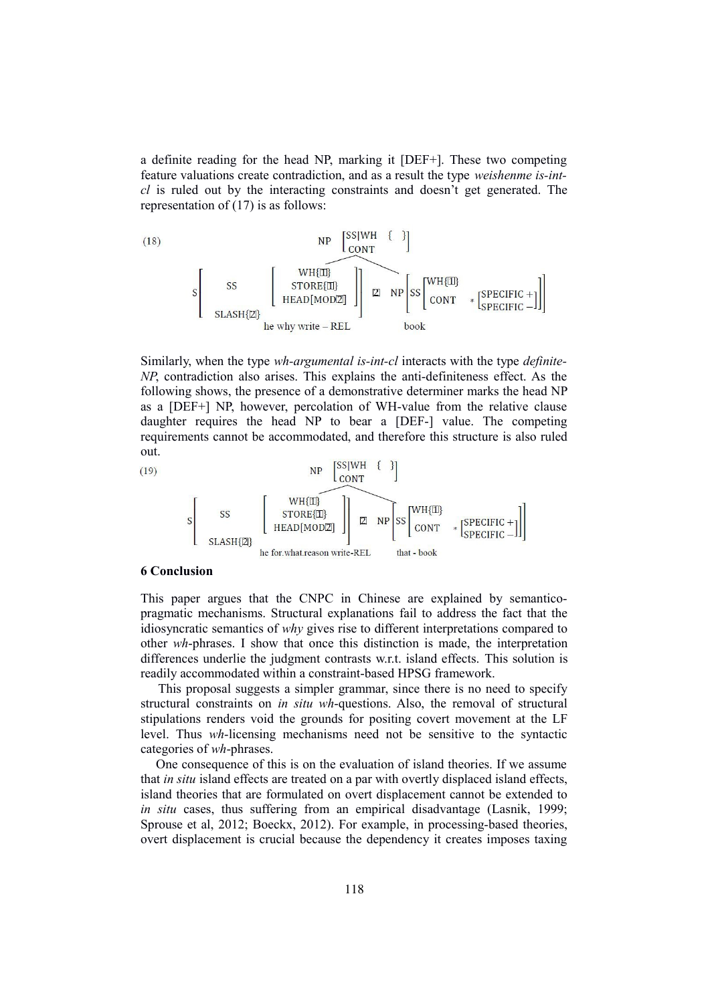a definite reading for the head NP, marking it [DEF+]. These two competing feature valuations create contradiction, and as a result the type *weishenme is-intcl* is ruled out by the interacting constraints and doesn't get generated. The representation of (17) is as follows:



Similarly, when the type *wh-argumental is-int-cl* interacts with the type *definite-NP*, contradiction also arises. This explains the anti-definiteness effect. As the following shows, the presence of a demonstrative determiner marks the head NP as a [DEF+] NP, however, percolation of WH-value from the relative clause daughter requires the head NP to bear a [DEF-] value. The competing requirements cannot be accommodated, and therefore this structure is also ruled out.



#### **6 Conclusion**

This paper argues that the CNPC in Chinese are explained by semanticopragmatic mechanisms. Structural explanations fail to address the fact that the idiosyncratic semantics of *why* gives rise to different interpretations compared to other *wh*-phrases. I show that once this distinction is made, the interpretation differences underlie the judgment contrasts w.r.t. island effects. This solution is readily accommodated within a constraint-based HPSG framework.

 This proposal suggests a simpler grammar, since there is no need to specify structural constraints on *in situ wh*-questions. Also, the removal of structural stipulations renders void the grounds for positing covert movement at the LF level. Thus *wh*-licensing mechanisms need not be sensitive to the syntactic categories of *wh*-phrases.

 One consequence of this is on the evaluation of island theories. If we assume that *in situ* island effects are treated on a par with overtly displaced island effects, island theories that are formulated on overt displacement cannot be extended to *in situ* cases, thus suffering from an empirical disadvantage (Lasnik, 1999; Sprouse et al, 2012; Boeckx, 2012). For example, in processing-based theories, overt displacement is crucial because the dependency it creates imposes taxing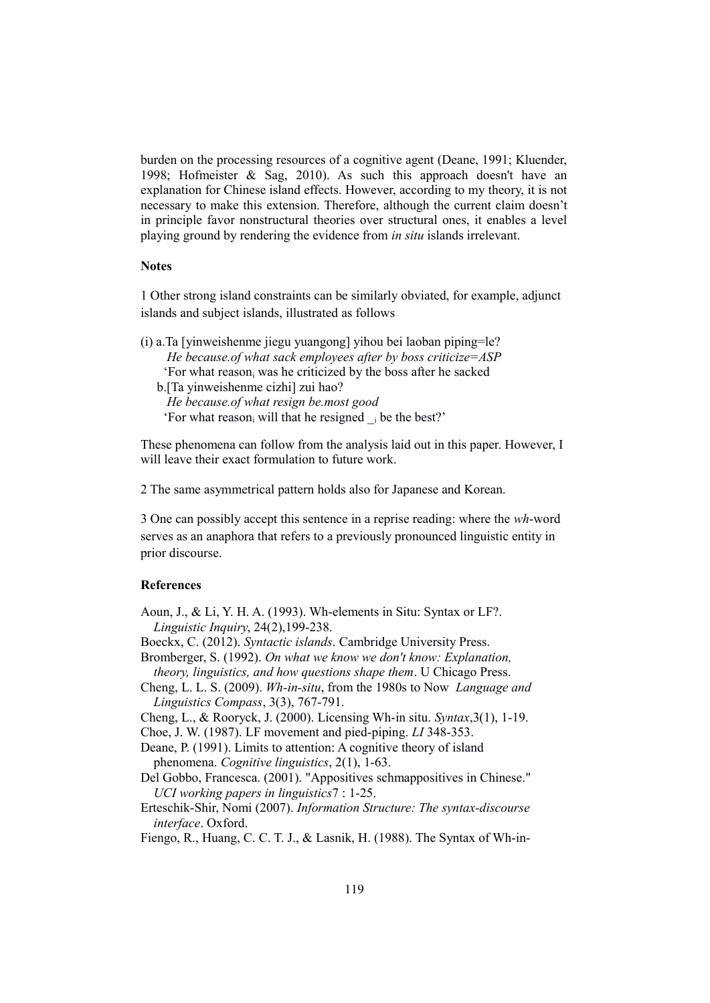burden on the processing resources of a cognitive agent (Deane, 1991; Kluender, 1998; Hofmeister & Sag, 2010). As such this approach doesn't have an explanation for Chinese island effects. However, according to my theory, it is not necessary to make this extension. Therefore, although the current claim doesn't in principle favor nonstructural theories over structural ones, it enables a level playing ground by rendering the evidence from *in situ* islands irrelevant.

#### **Notes**

1 Other strong island constraints can be similarly obviated, for example, adjunct islands and subject islands, illustrated as follows

(i) a.Ta [yinweishenme jiegu yuangong] yihou bei laoban piping=le? *He because.of what sack employees after by boss criticize=ASP*  'For what reason<sub>i</sub> was he criticized by the boss after he sacked b.[Ta yinweishenme cizhi] zui hao? *He because.of what resign be.most good*  'For what reason<sub>i</sub> will that he resigned  $\alpha$  i be the best?'

These phenomena can follow from the analysis laid out in this paper. However, I will leave their exact formulation to future work.

2 The same asymmetrical pattern holds also for Japanese and Korean.

3 One can possibly accept this sentence in a reprise reading: where the *wh*-word serves as an anaphora that refers to a previously pronounced linguistic entity in prior discourse.

#### **References**

- Aoun, J., & Li, Y. H. A. (1993). Wh-elements in Situ: Syntax or LF?. *Linguistic Inquiry*, 24(2),199-238.
- Boeckx, C. (2012). *Syntactic islands*. Cambridge University Press.
- Bromberger, S. (1992). *On what we know we don't know: Explanation, theory, linguistics, and how questions shape them*. U Chicago Press.
- Cheng, L. L. S. (2009). *Wh-in-situ*, from the 1980s to Now *Language and Linguistics Compass*, 3(3), 767-791.

Cheng, L., & Rooryck, J. (2000). Licensing Wh-in situ. *Syntax*,3(1), 1-19.

Choe, J. W. (1987). LF movement and pied-piping. *LI* 348-353.

Deane, P. (1991). Limits to attention: A cognitive theory of island phenomena. *Cognitive linguistics*, 2(1), 1-63.

- Del Gobbo, Francesca. (2001). "Appositives schmappositives in Chinese." *UCI working papers in linguistics*7 : 1-25.
- Erteschik-Shir, Nomi (2007). *Information Structure: The syntax-discourse interface*. Oxford.

Fiengo, R., Huang, C. C. T. J., & Lasnik, H. (1988). The Syntax of Wh-in-